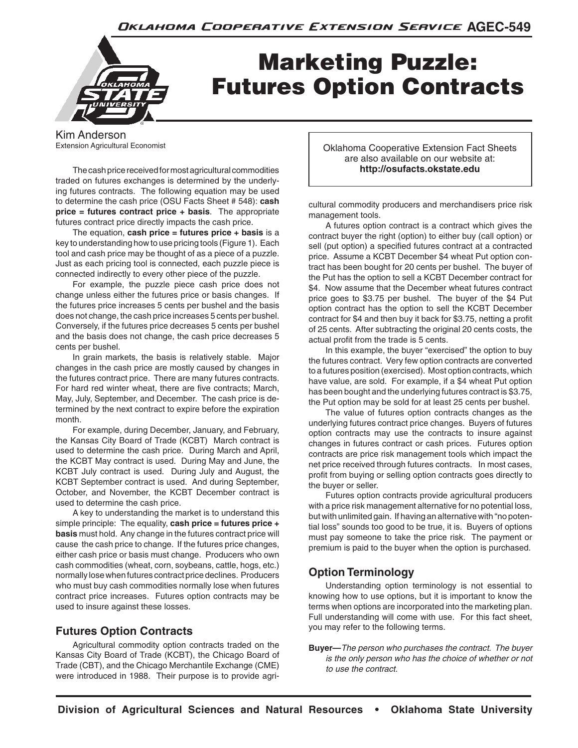

# Marketing Puzzle: Futures Option Contracts

Kim Anderson Extension Agricultural Economist

The cash price received for most agricultural commodities traded on futures exchanges is determined by the underlying futures contracts. The following equation may be used to determine the cash price (OSU Facts Sheet # 548): **cash price = futures contract price + basis**. The appropriate futures contract price directly impacts the cash price.

The equation, **cash price = futures price + basis** is a key to understanding how to use pricing tools (Figure 1). Each tool and cash price may be thought of as a piece of a puzzle. Just as each pricing tool is connected, each puzzle piece is connected indirectly to every other piece of the puzzle.

For example, the puzzle piece cash price does not change unless either the futures price or basis changes. If the futures price increases 5 cents per bushel and the basis does not change, the cash price increases 5 cents per bushel. Conversely, if the futures price decreases 5 cents per bushel and the basis does not change, the cash price decreases 5 cents per bushel.

In grain markets, the basis is relatively stable. Major changes in the cash price are mostly caused by changes in the futures contract price. There are many futures contracts. For hard red winter wheat, there are five contracts; March, May, July, September, and December. The cash price is determined by the next contract to expire before the expiration month.

For example, during December, January, and February, the Kansas City Board of Trade (KCBT) March contract is used to determine the cash price. During March and April, the KCBT May contract is used. During May and June, the KCBT July contract is used. During July and August, the KCBT September contract is used. And during September, October, and November, the KCBT December contract is used to determine the cash price.

A key to understanding the market is to understand this simple principle: The equality, **cash price = futures price + basis** must hold. Any change in the futures contract price will cause the cash price to change. If the futures price changes, either cash price or basis must change. Producers who own cash commodities (wheat, corn, soybeans, cattle, hogs, etc.) normally lose when futures contract price declines. Producers who must buy cash commodities normally lose when futures contract price increases. Futures option contracts may be used to insure against these losses.

# **Futures Option Contracts**

Agricultural commodity option contracts traded on the Kansas City Board of Trade (KCBT), the Chicago Board of Trade (CBT), and the Chicago Merchantile Exchange (CME) were introduced in 1988. Their purpose is to provide agriOklahoma Cooperative Extension Fact Sheets are also available on our website at: **http://osufacts.okstate.edu**

cultural commodity producers and merchandisers price risk management tools.

A futures option contract is a contract which gives the contract buyer the right (option) to either buy (call option) or sell (put option) a specified futures contract at a contracted price. Assume a KCBT December \$4 wheat Put option contract has been bought for 20 cents per bushel. The buyer of the Put has the option to sell a KCBT December contract for \$4. Now assume that the December wheat futures contract price goes to \$3.75 per bushel. The buyer of the \$4 Put option contract has the option to sell the KCBT December contract for \$4 and then buy it back for \$3.75, netting a profit of 25 cents. After subtracting the original 20 cents costs, the actual profit from the trade is 5 cents.

In this example, the buyer "exercised" the option to buy the futures contract. Very few option contracts are converted to a futures position (exercised). Most option contracts, which have value, are sold. For example, if a \$4 wheat Put option has been bought and the underlying futures contract is \$3.75, the Put option may be sold for at least 25 cents per bushel.

The value of futures option contracts changes as the underlying futures contract price changes. Buyers of futures option contracts may use the contracts to insure against changes in futures contract or cash prices. Futures option contracts are price risk management tools which impact the net price received through futures contracts. In most cases, profit from buying or selling option contracts goes directly to the buyer or seller.

Futures option contracts provide agricultural producers with a price risk management alternative for no potential loss, but with unlimited gain. If having an alternative with "no potential loss" sounds too good to be true, it is. Buyers of options must pay someone to take the price risk. The payment or premium is paid to the buyer when the option is purchased.

# **Option Terminology**

Understanding option terminology is not essential to knowing how to use options, but it is important to know the terms when options are incorporated into the marketing plan. Full understanding will come with use. For this fact sheet, you may refer to the following terms.

**Buyer—***The person who purchases the contract. The buyer is the only person who has the choice of whether or not to use the contract.*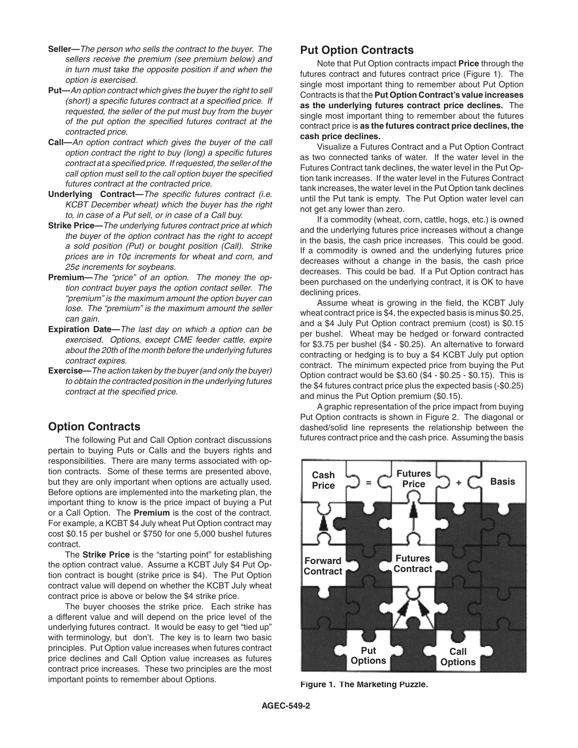- **Seller—***The person who sells the contract to the buyer. The sellers receive the premium (see premium below) and in turn must take the opposite position if and when the option is exercised.*
- **Put—***An option contract which gives the buyer the right to sell (short) a specific futures contract at a specified price. If requested, the seller of the put must buy from the buyer of the put option the specified futures contract at the contracted price.*
- **Call—***An option contract which gives the buyer of the call option contract the right to buy (long) a specific futures contract at a specified price. If requested, the seller of the call option must sell to the call option buyer the specified futures contract at the contracted price.*
- **Underlying Contract—***The specific futures contract (i.e. KCBT December wheat) which the buyer has the right to, in case of a Put sell, or in case of a Call buy.*
- **Strike Price—***The underlying futures contract price at which the buyer of the option contract has the right to accept a sold position (Put) or bought position (Call). Strike prices are in 10¢ increments for wheat and corn, and 25¢ increments for soybeans.*
- **Premium—***The "price" of an option. The money the option contract buyer pays the option contact seller. The "premium" is the maximum amount the option buyer can lose. The "premium" is the maximum amount the seller can gain.*
- **Expiration Date—***The last day on which a option can be exercised. Options, except CME feeder cattle, expire about the 20th of the month before the underlying futures contract expires.*
- **Exercise—***The action taken by the buyer (and only the buyer) to obtain the contracted position in the underlying futures contract at the specified price.*

## **Option Contracts**

The following Put and Call Option contract discussions pertain to buying Puts or Calls and the buyers rights and responsibilities. There are many terms associated with option contracts. Some of these terms are presented above, but they are only important when options are actually used. Before options are implemented into the marketing plan, the important thing to know is the price impact of buying a Put or a Call Option. The **Premium** is the cost of the contract. For example, a KCBT \$4 July wheat Put Option contract may cost \$0.15 per bushel or \$750 for one 5,000 bushel futures contract.

The **Strike Price** is the "starting point" for establishing the option contract value. Assume a KCBT July \$4 Put Option contract is bought (strike price is \$4). The Put Option contract value will depend on whether the KCBT July wheat contract price is above or below the \$4 strike price.

The buyer chooses the strike price. Each strike has a different value and will depend on the price level of the underlying futures contract. It would be easy to get "tied up" with terminology, but don't. The key is to learn two basic principles. Put Option value increases when futures contract price declines and Call Option value increases as futures contract price increases. These two principles are the most important points to remember about Options.

## **Put Option Contracts**

Note that Put Option contracts impact **Price** through the futures contract and futures contract price (Figure 1). The single most important thing to remember about Put Option Contracts is that the **Put Option Contract's value increases as the underlying futures contract price declines.** The single most important thing to remember about the futures contract price is **as the futures contract price declines, the cash price declines.**

Visualize a Futures Contract and a Put Option Contract as two connected tanks of water. If the water level in the Futures Contract tank declines, the water level in the Put Option tank increases. If the water level in the Futures Contract tank increases, the water level in the Put Option tank declines until the Put tank is empty. The Put Option water level can not get any lower than zero.

If a commodity (wheat, corn, cattle, hogs, etc.) is owned and the underlying futures price increases without a change in the basis, the cash price increases. This could be good. If a commodity is owned and the underlying futures price decreases without a change in the basis, the cash price decreases. This could be bad. If a Put Option contract has been purchased on the underlying contract, it is OK to have declining prices.

Assume wheat is growing in the field, the KCBT July wheat contract price is \$4, the expected basis is minus \$0.25, and a \$4 July Put Option contract premium (cost) is \$0.15 per bushel. Wheat may be hedged or forward contracted for \$3.75 per bushel (\$4 - \$0.25). An alternative to forward contracting or hedging is to buy a \$4 KCBT July put option contract. The minimum expected price from buying the Put Option contract would be \$3.60 (\$4 - \$0.25 - \$0.15). This is the \$4 futures contract price plus the expected basis (-\$0.25) and minus the Put Option premium (\$0.15).

A graphic representation of the price impact from buying Put Option contracts is shown in Figure 2. The diagonal or dashed/solid line represents the relationship between the futures contract price and the cash price. Assuming the basis



**Figure 1. The Marketing Puzzle.**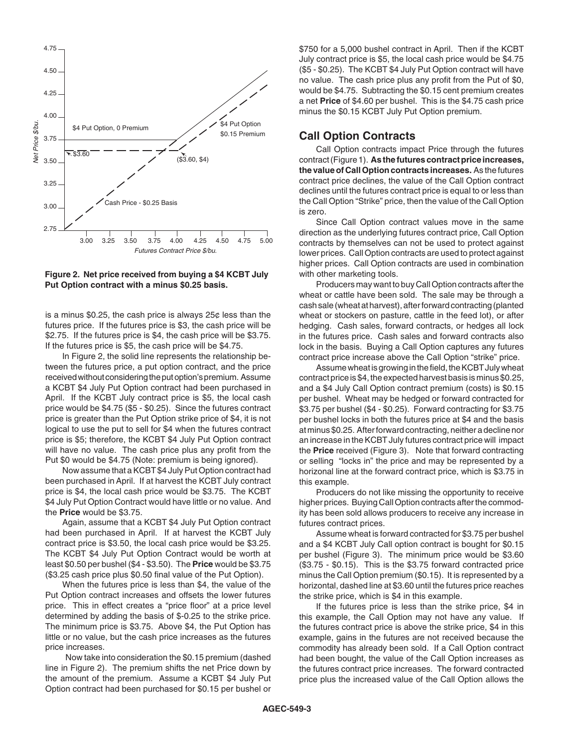

**Figure 2. Net price received from buying a \$4 KCBT July Put Option contract with a minus \$0.25 basis.**

is a minus \$0.25, the cash price is always 25¢ less than the futures price. If the futures price is \$3, the cash price will be \$2.75. If the futures price is \$4, the cash price will be \$3.75. If the futures price is \$5, the cash price will be \$4.75.

In Figure 2, the solid line represents the relationship between the futures price, a put option contract, and the price received without considering the put option's premium. Assume a KCBT \$4 July Put Option contract had been purchased in April. If the KCBT July contract price is \$5, the local cash price would be \$4.75 (\$5 - \$0.25). Since the futures contract price is greater than the Put Option strike price of \$4, it is not logical to use the put to sell for \$4 when the futures contract price is \$5; therefore, the KCBT \$4 July Put Option contract will have no value. The cash price plus any profit from the Put \$0 would be \$4.75 (Note: premium is being ignored).

Now assume that a KCBT \$4 July Put Option contract had been purchased in April. If at harvest the KCBT July contract price is \$4, the local cash price would be \$3.75. The KCBT \$4 July Put Option Contract would have little or no value. And the **Price** would be \$3.75.

Again, assume that a KCBT \$4 July Put Option contract had been purchased in April. If at harvest the KCBT July contract price is \$3.50, the local cash price would be \$3.25. The KCBT \$4 July Put Option Contract would be worth at least \$0.50 per bushel (\$4 - \$3.50). The **Price** would be \$3.75 (\$3.25 cash price plus \$0.50 final value of the Put Option).

When the futures price is less than \$4, the value of the Put Option contract increases and offsets the lower futures price. This in effect creates a "price floor" at a price level determined by adding the basis of \$-0.25 to the strike price. The minimum price is \$3.75. Above \$4, the Put Option has little or no value, but the cash price increases as the futures price increases.

 Now take into consideration the \$0.15 premium (dashed line in Figure 2). The premium shifts the net Price down by the amount of the premium. Assume a KCBT \$4 July Put Option contract had been purchased for \$0.15 per bushel or

\$750 for a 5,000 bushel contract in April. Then if the KCBT July contract price is \$5, the local cash price would be \$4.75 (\$5 - \$0.25). The KCBT \$4 July Put Option contract will have no value. The cash price plus any profit from the Put of \$0, would be \$4.75. Subtracting the \$0.15 cent premium creates a net **Price** of \$4.60 per bushel. This is the \$4.75 cash price minus the \$0.15 KCBT July Put Option premium.

#### **Call Option Contracts**

Call Option contracts impact Price through the futures contract (Figure 1). **As the futures contract price increases, the value of Call Option contracts increases.** As the futures contract price declines, the value of the Call Option contract declines until the futures contract price is equal to or less than the Call Option "Strike" price, then the value of the Call Option is zero.

Since Call Option contract values move in the same direction as the underlying futures contract price, Call Option contracts by themselves can not be used to protect against lower prices. Call Option contracts are used to protect against higher prices. Call Option contracts are used in combination with other marketing tools.

Producers may want to buy Call Option contracts after the wheat or cattle have been sold. The sale may be through a cash sale (wheat at harvest), after forward contracting (planted wheat or stockers on pasture, cattle in the feed lot), or after hedging. Cash sales, forward contracts, or hedges all lock in the futures price. Cash sales and forward contracts also lock in the basis. Buying a Call Option captures any futures contract price increase above the Call Option "strike" price.

Assume wheat is growing in the field, the KCBT July wheat contract price is \$4, the expected harvest basis is minus \$0.25, and a \$4 July Call Option contract premium (costs) is \$0.15 per bushel. Wheat may be hedged or forward contracted for \$3.75 per bushel (\$4 - \$0.25). Forward contracting for \$3.75 per bushel locks in both the futures price at \$4 and the basis at minus \$0.25. After forward contracting, neither a decline nor an increase in the KCBT July futures contract price will impact the **Price** received (Figure 3). Note that forward contracting or selling "locks in" the price and may be represented by a horizonal line at the forward contract price, which is \$3.75 in this example.

Producers do not like missing the opportunity to receive higher prices. Buying Call Option contracts after the commodity has been sold allows producers to receive any increase in futures contract prices.

Assume wheat is forward contracted for \$3.75 per bushel and a \$4 KCBT July Call option contract is bought for \$0.15 per bushel (Figure 3). The minimum price would be \$3.60 (\$3.75 - \$0.15). This is the \$3.75 forward contracted price minus the Call Option premium (\$0.15). It is represented by a horizontal, dashed line at \$3.60 until the futures price reaches the strike price, which is \$4 in this example.

If the futures price is less than the strike price, \$4 in this example, the Call Option may not have any value. If the futures contract price is above the strike price, \$4 in this example, gains in the futures are not received because the commodity has already been sold. If a Call Option contract had been bought, the value of the Call Option increases as the futures contract price increases. The forward contracted price plus the increased value of the Call Option allows the